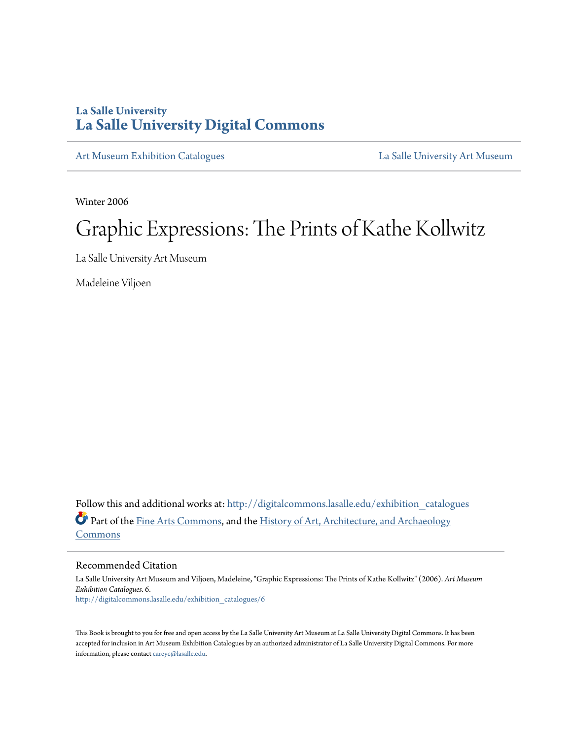## **La Salle University [La Salle University Digital Commons](http://digitalcommons.lasalle.edu?utm_source=digitalcommons.lasalle.edu%2Fexhibition_catalogues%2F6&utm_medium=PDF&utm_campaign=PDFCoverPages)**

[Art Museum Exhibition Catalogues](http://digitalcommons.lasalle.edu/exhibition_catalogues?utm_source=digitalcommons.lasalle.edu%2Fexhibition_catalogues%2F6&utm_medium=PDF&utm_campaign=PDFCoverPages) **[La Salle University Art Museum](http://digitalcommons.lasalle.edu/art_museum?utm_source=digitalcommons.lasalle.edu%2Fexhibition_catalogues%2F6&utm_medium=PDF&utm_campaign=PDFCoverPages)** 

Winter 2006

# Graphic Expressions: The Prints of Kathe Kollwitz

La Salle University Art Museum

Madeleine Viljoen

Follow this and additional works at: [http://digitalcommons.lasalle.edu/exhibition\\_catalogues](http://digitalcommons.lasalle.edu/exhibition_catalogues?utm_source=digitalcommons.lasalle.edu%2Fexhibition_catalogues%2F6&utm_medium=PDF&utm_campaign=PDFCoverPages) Part of the [Fine Arts Commons](http://network.bepress.com/hgg/discipline/1141?utm_source=digitalcommons.lasalle.edu%2Fexhibition_catalogues%2F6&utm_medium=PDF&utm_campaign=PDFCoverPages), and the [History of Art, Architecture, and Archaeology](http://network.bepress.com/hgg/discipline/510?utm_source=digitalcommons.lasalle.edu%2Fexhibition_catalogues%2F6&utm_medium=PDF&utm_campaign=PDFCoverPages) [Commons](http://network.bepress.com/hgg/discipline/510?utm_source=digitalcommons.lasalle.edu%2Fexhibition_catalogues%2F6&utm_medium=PDF&utm_campaign=PDFCoverPages)

#### Recommended Citation

La Salle University Art Museum and Viljoen, Madeleine, "Graphic Expressions: The Prints of Kathe Kollwitz" (2006). *Art Museum Exhibition Catalogues*. 6. [http://digitalcommons.lasalle.edu/exhibition\\_catalogues/6](http://digitalcommons.lasalle.edu/exhibition_catalogues/6?utm_source=digitalcommons.lasalle.edu%2Fexhibition_catalogues%2F6&utm_medium=PDF&utm_campaign=PDFCoverPages)

This Book is brought to you for free and open access by the La Salle University Art Museum at La Salle University Digital Commons. It has been accepted for inclusion in Art Museum Exhibition Catalogues by an authorized administrator of La Salle University Digital Commons. For more information, please contact [careyc@lasalle.edu.](mailto:careyc@lasalle.edu)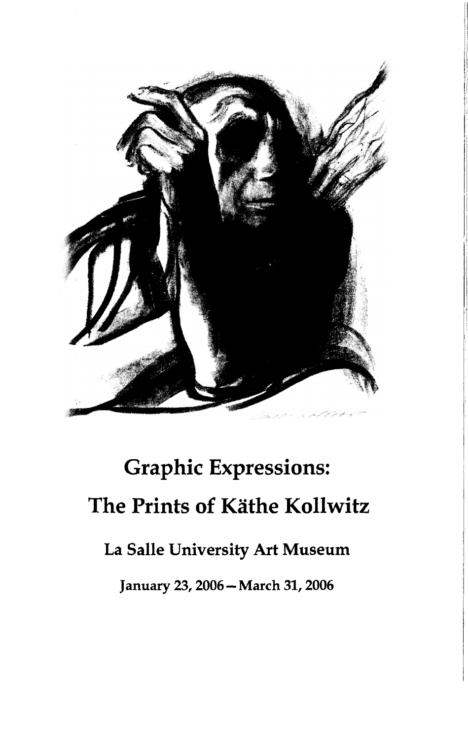

# **Graphic Expressions: The Prints of Kathe Kollwitz**

# **La Salle University Art Museum**

**January 23,2006—March 31,2006**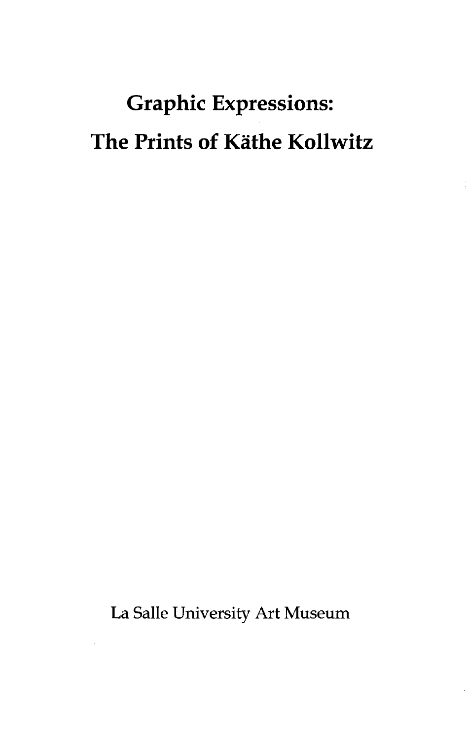# **Graphic Expressions: The Prints of Kathe Kollwitz**

**La Salle University Art Museum**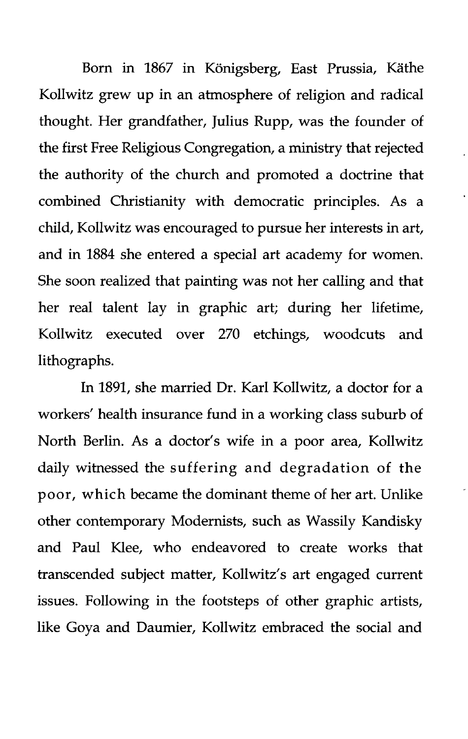Born in 1867 in Königsberg, East Prussia, Käthe Kollwitz grew up in an atmosphere of religion and radical thought. Her grandfather, Julius Rupp, was the founder of the first Free Religious Congregation, a ministry that rejected the authority of the church and promoted a doctrine that combined Christianity with democratic principles. As a child, Kollwitz was encouraged to pursue her interests in art, and in 1884 she entered a special art academy for women. She soon realized that painting was not her calling and that her real talent lay in graphic art; during her lifetime, Kollwitz executed over 270 etchings, woodcuts and lithographs.

In 1891, she married Dr. Karl Kollwitz, a doctor for a workers' health insurance fund in a working class suburb of North Berlin. As a doctor's wife in a poor area, Kollwitz daily witnessed the suffering and degradation of the poor, which became the dominant theme of her art. Unlike other contemporary Modernists, such as Wassily Kandisky and Paul Klee, who endeavored to create works that transcended subject matter, Kollwitz's art engaged current issues. Following in the footsteps of other graphic artists, like Goya and Daumier, Kollwitz embraced the social and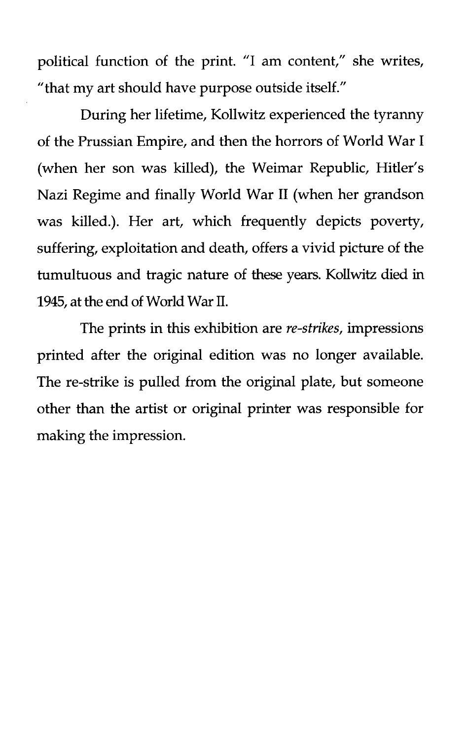political function of the print. "I am content," she writes, "that my art should have purpose outside itself."

During her lifetime, Kollwitz experienced the tyranny of the Prussian Empire, and then the horrors of World War I (when her son was killed), the Weimar Republic, Hitler's Nazi Regime and finally World War II (when her grandson was killed.). Her art, which frequently depicts poverty, suffering, exploitation and death, offers a vivid picture of the tumultuous and tragic nature of these years. Kollwitz died in 1945, at the end of World War II.

The prints in this exhibition are *re-strikes,* impressions printed after the original edition was no longer available. The re-strike is pulled from the original plate, but someone other than the artist or original printer was responsible for making the impression.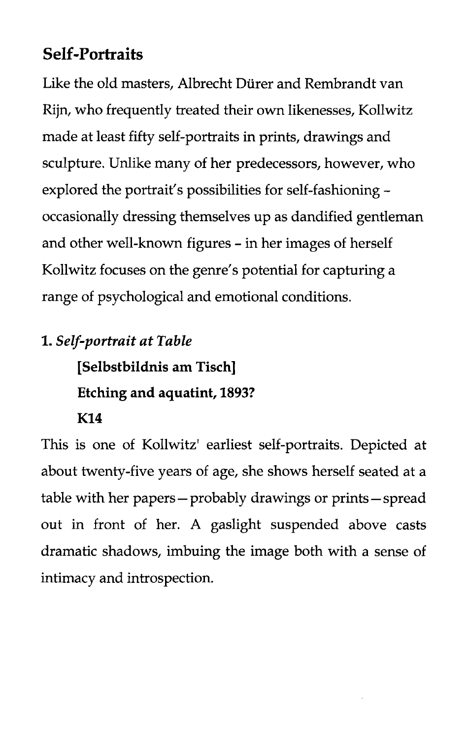# **Self-Portraits**

Like the old masters, Albrecht Diirer and Rembrandt van Rijn, who frequently treated their own likenesses, Kollwitz made at least fifty self-portraits in prints, drawings and sculpture. Unlike many of her predecessors, however, who explored the portrait's possibilities for self-fashioning occasionally dressing themselves up as dandified gentleman and other well-known figures - in her images of herself Kollwitz focuses on the genre's potential for capturing a range of psychological and emotional conditions.

## **1.** *Self-portrait at Table*

**[Selbstbildnis am Tisch] Etching and aquatint, 1893?**

### **K14**

This is one of Kollwitz' earliest self-portraits. Depicted at about twenty-five years of age, she shows herself seated at a table with her papers—probably drawings or prints—spread out in front of her. A gaslight suspended above casts dramatic shadows, imbuing the image both with a sense of intimacy and introspection.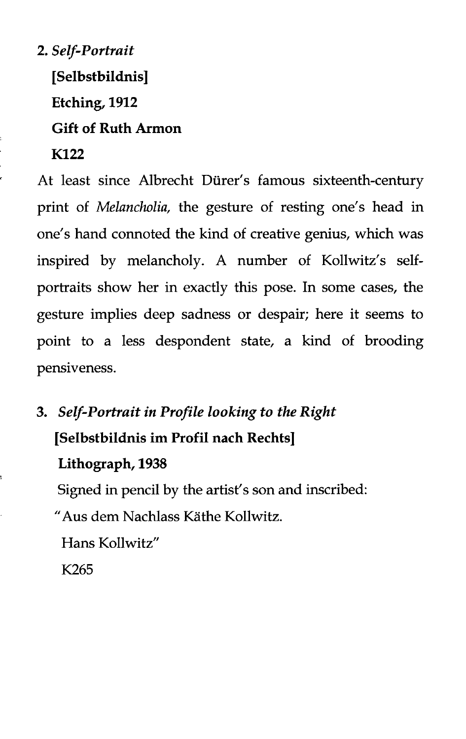**2.** *Self-Portrait* **[Selbstbildnis] Etching, 1912 Gift of Ruth Armon K122**

At least since Albrecht Diirer's famous sixteenth-century print of *Melancholia,* the gesture of resting one's head in one's hand connoted the kind of creative genius, which was inspired by melancholy. A number of Kollwitz's selfportraits show her in exactly this pose. In some cases, the gesture implies deep sadness or despair; here it seems to point to a less despondent state, a kind of brooding pensiveness.

**3.** *Self-Portrait in Profile looking to the Right* **[Selbstbildnis im Profil nach Rechts] Lithograph, 1938**

Signed in pencil by the artist's son and inscribed:

"Aus dem Nachlass Kathe Kollwitz.

Hans Kollwitz"

K265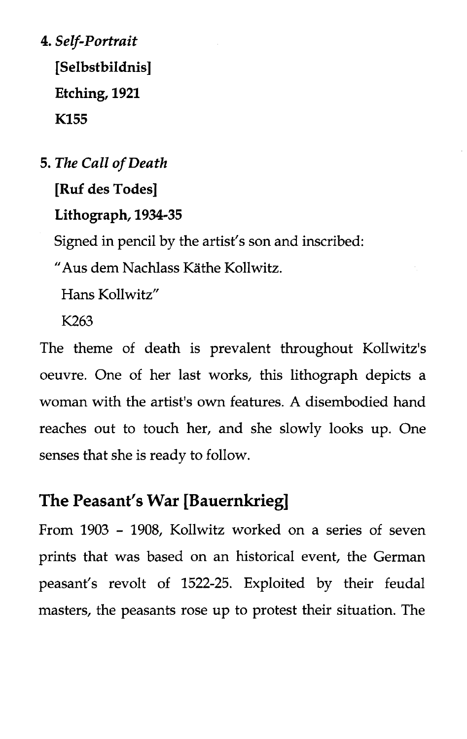**4.** *Self-Portrait* **[Selbstbildnis] Etching, 1921 K155**

**5.** *The Call of Death* **[Ruf des Todes] Lithograph, 1934-35** Signed in pencil by the artist's son and inscribed: "Aus dem Nachlass Kathe Kollwitz.

Hans Kollwitz"

K263

The theme of death is prevalent throughout Kollwitz's oeuvre. One of her last works, this lithograph depicts a woman with the artist's own features. A disembodied hand reaches out to touch her, and she slowly looks up. One senses that she is ready to follow.

## **The Peasant's War [Bauernkrieg]**

From 1903 - 1908, Kollwitz worked on a series of seven prints that was based on an historical event, the German peasant's revolt of 1522-25. Exploited by their feudal masters, the peasants rose up to protest their situation. The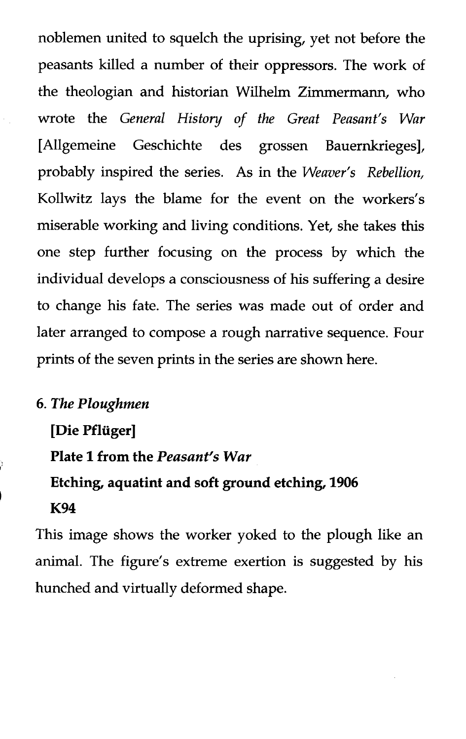noblemen united to squelch the uprising, yet not before the peasants killed a number of their oppressors. The work of the theologian and historian Wilhelm Zimmermann, who wrote the *General History of the Great Peasant's War* [Allgemeine Geschichte des grossen Bauernkrieges], probably inspired the series. As in the *Weaver's Rebellion,* Kollwitz lays the blame for the event on the workers's miserable working and living conditions. Yet, she takes this one step further focusing on the process by which the individual develops a consciousness of his suffering a desire to change his fate. The series was made out of order and later arranged to compose a rough narrative sequence. Four prints of the seven prints in the series are shown here.

#### **6.** *The Ploughmen*

**[Die Pfliiger]**

**Plate 1 from the** *Peasant's War*

**Etching, aquatint and soft ground etching, 1906**

#### **K94**

This image shows the worker yoked to the plough like an animal. The figure's extreme exertion is suggested by his hunched and virtually deformed shape.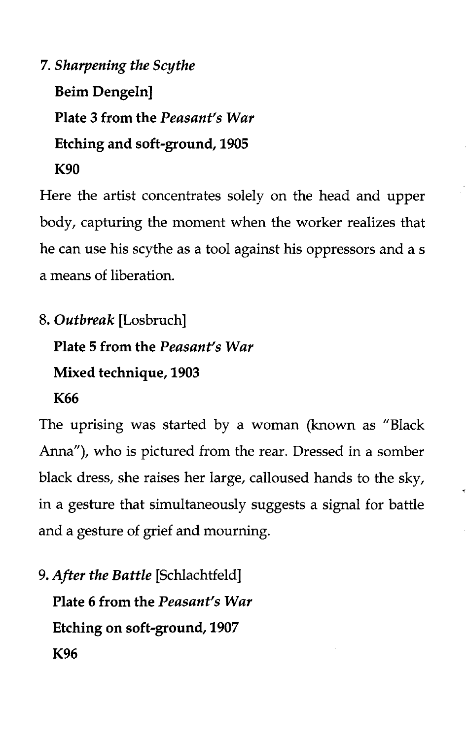**7.** *Sharpening the Scythe* **Beim Dengeln] Plate 3 from the** *Peasant's War* **Etching and soft-ground, 1905 K90**

Here the artist concentrates solely on the head and upper body, capturing the moment when the worker realizes that he can use his scythe as a tool against his oppressors and a s a means of liberation.

8. *Outbreak* [Losbruch] **Plate 5 from the** *Peasant's War* **Mixed technique, 1903 K66**

The uprising was started by a woman (known as "Black Anna"), who is pictured from the rear. Dressed in a somber black dress, she raises her large, calloused hands to the sky, in a gesture that simultaneously suggests a signal for battle and a gesture of grief and mourning.

9. *After the Battle* [Schlachtfeld] **Plate 6 from the** *Peasant's War* **Etching on soft-ground, 1907 K96**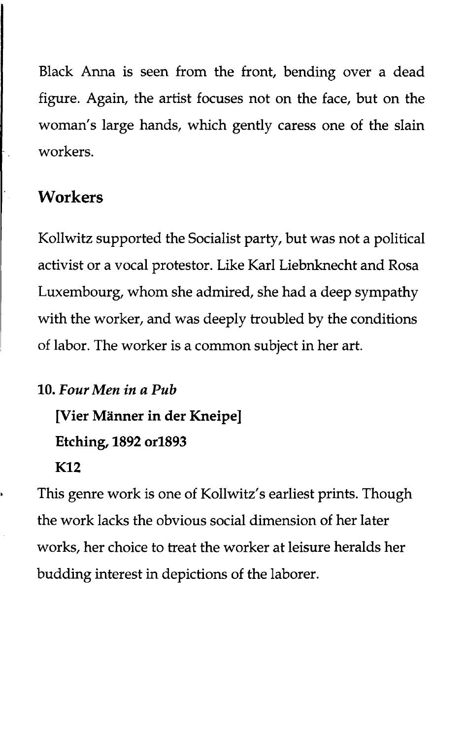Black Anna is seen from the front, bending over a dead figure. Again, the artist focuses not on the face, but on the woman's large hands, which gently caress one of the slain workers.

### **Workers**

Kollwitz supported the Socialist party, but was not a political activist or a vocal protestor. Like Karl Liebnknecht and Rosa Luxembourg, whom she admired, she had a deep sympathy with the worker, and was deeply troubled by the conditions of labor. The worker is a common subject in her art.

**10.** *Four Men in a Pub* **[Vier Manner in der Kneipe] Etching, 1892 orl893 K12**

This genre work is one of Kollwitz's earliest prints. Though the work lacks the obvious social dimension of her later works, her choice to treat the worker at leisure heralds her budding interest in depictions of the laborer.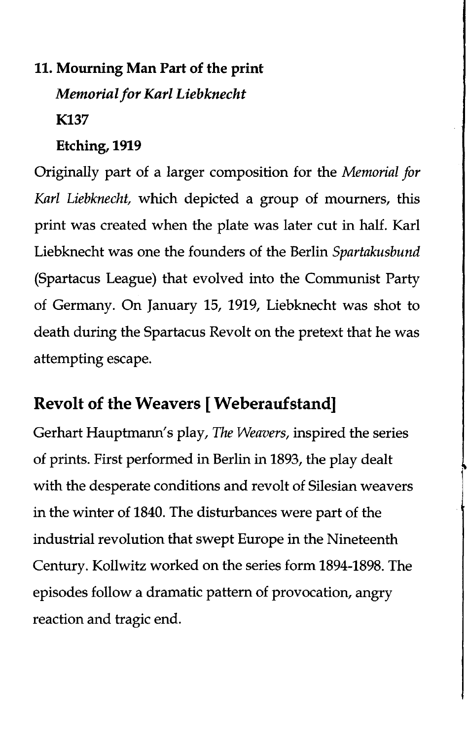# **11. Mourning Man Part of the print** *Memorial for Karl Liebknecht* **K137**

#### **Etching, 1919**

Originally part of a larger composition for the *Memorial for Karl Liebknecht,* which depicted a group of mourners, this print was created when the plate was later cut in half. Karl Liebknecht was one the founders of the Berlin *Spartakusbund* (Spartacus League) that evolved into the Communist Party of Germany. On January 15, 1919, Liebknecht was shot to death during the Spartacus Revolt on the pretext that he was attempting escape.

## **Revolt of the Weavers [ Weberauf stand]**

Gerhart Hauptmann's play, *The Weavers,* inspired the series of prints. First performed in Berlin in 1893, the play dealt with the desperate conditions and revolt of Silesian weavers in the winter of 1840. The disturbances were part of the industrial revolution that swept Europe in the Nineteenth Century. Kollwitz worked on the series form 1894-1898. The episodes follow a dramatic pattern of provocation, angry reaction and tragic end.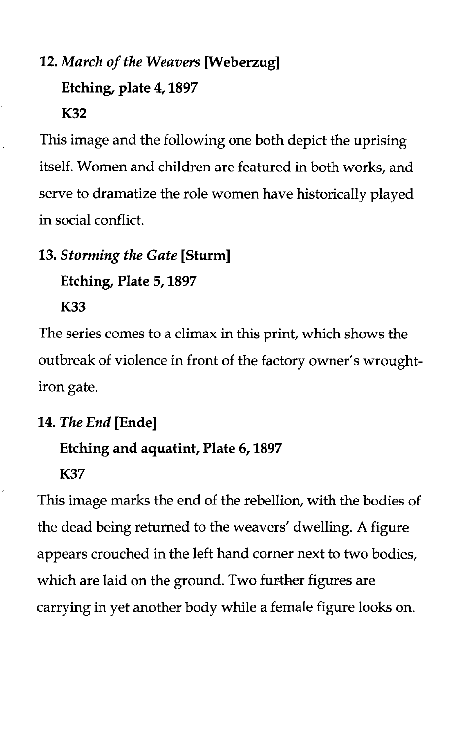# **12.** *March of the Weavers* **[Weberzug] Etching, plate 4,1897 K32**

This image and the following one both depict the uprising itself. Women and children are featured in both works, and serve to dramatize the role women have historically played in social conflict.

## **13.** *Storming the Gate* **[Sturm]**

**Etching, Plate 5,1897**

**K33**

The series comes to a climax in this print, which shows the outbreak of violence in front of the factory owner's wroughtiron gate.

## **14.** *The End* **[Ende]**

## **Etching and aquatint, Plate 6,1897**

**K37**

This image marks the end of the rebellion, with the bodies of the dead being returned to the weavers' dwelling. A figure appears crouched in the left hand corner next to two bodies, which are laid on the ground. Two further figures are carrying in yet another body while a female figure looks on.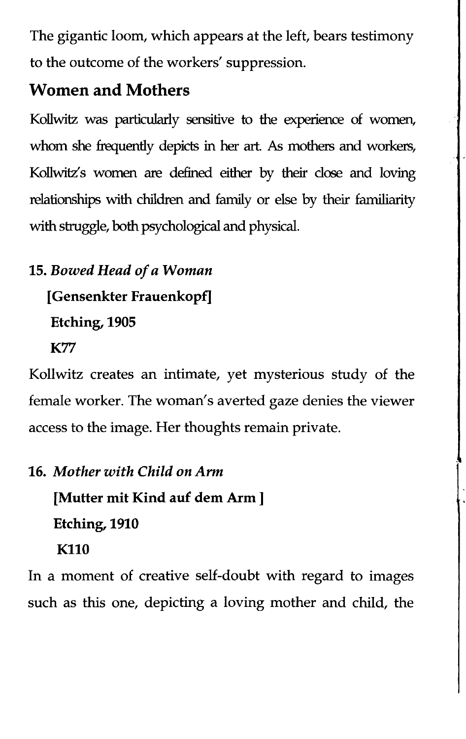The gigantic loom, which appears at the left, bears testimony to the outcome of the workers' suppression.

# **Women and Mothers**

Kollwitz was particularly sensitive to the experience of women, whom she frequently depicts in her art. As mothers and workers, Kollwitz's women are defined either by their dose and loving relationships with children and family or else by their familiarity with struggle, both psychological and physical.

# **15.** *Bowed Head of a Woman* **[Gensenkter Frauenkopf] Etching, 1905 K77**

Kollwitz creates an intimate, yet mysterious study of the female worker. The woman's averted gaze denies the viewer access to the image. Her thoughts remain private.

# **16.** *Mother with Child on Arm* **[Mutter mit Kind auf dem Arm ] Etching, 1910 K110**

In a moment of creative self-doubt with regard to images such as this one, depicting a loving mother and child, the